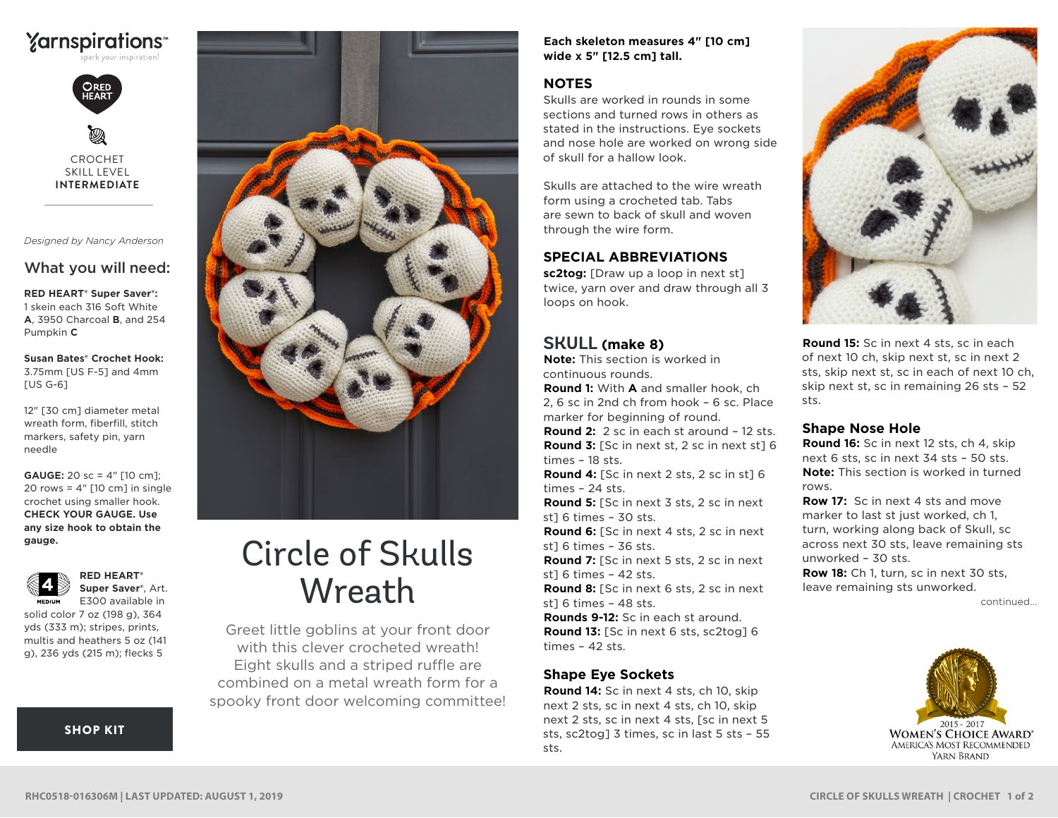



CROCHET SKILL LEVEL **INTERMEDIATE**

*Designed by Nancy Anderson* 

# What you will need:

**RED HEART® Super Saver®:** 1 skein each 316 Soft White **A**, 3950 Charcoal **B**, and 254 Pumpkin **C**

**Susan Bates® Crochet Hook:** 3.75mm [US F-5] and 4mm [US G-6]

12" [30 cm] diameter metal wreath form, fiberfill, stitch markers, safety pin, yarn needle

**GAUGE:** 20 sc = 4" [10 cm]; 20 rows =  $4''$  [10 cm] in single crochet using smaller hook. **CHECK YOUR GAUGE. Use any size hook to obtain the gauge.**



E300 available in **MEDIUM** solid color 7 oz (198 g), 364 yds (333 m); stripes, prints, multis and heathers 5 oz (141 g), 236 yds (215 m); flecks 5

**RED HEART® Super Saver®**, Art.

[SHOP KIT](https://www.yarnspirations.com/red-heart-circle-of-skulls-wreath/RHC0518-016306M.html#utm_source=pdf-yarnspirations&utm_medium=referral&utm_campaign=pdf-RHC0518-016306M)



# Circle of Skulls **Wreath**

Greet little goblins at your front door with this clever crocheted wreath! Eight skulls and a striped ruffle are combined on a metal wreath form for a spooky front door welcoming committee! **Each skeleton measures 4" [10 cm] wide x 5" [12.5 cm] tall.** 

## **NOTES**

Skulls are worked in rounds in some sections and turned rows in others as stated in the instructions. Eye sockets and nose hole are worked on wrong side of skull for a hallow look.

Skulls are attached to the wire wreath form using a crocheted tab. Tabs are sewn to back of skull and woven through the wire form.

### **SPECIAL ABBREVIATIONS**

**sc2tog:** [Draw up a loop in next st] twice, yarn over and draw through all 3 loops on hook.

## **SKULL (make 8)**

**Note:** This section is worked in continuous rounds.

**Round 1:** With **A** and smaller hook, ch 2, 6 sc in 2nd ch from hook – 6 sc. Place marker for beginning of round.

**Round 2:** 2 sc in each st around – 12 sts. **Round 3:** [Sc in next st, 2 sc in next st] 6 times – 18 sts.

**Round 4:** [Sc in next 2 sts, 2 sc in st] 6 times – 24 sts. **Round 5:** [Sc in next 3 sts, 2 sc in next st] 6 times – 30 sts. **Round 6:** [Sc in next 4 sts, 2 sc in next st] 6 times – 36 sts. **Round 7:** [Sc in next 5 sts, 2 sc in next st] 6 times – 42 sts. **Round 8:** [Sc in next 6 sts, 2 sc in next st] 6 times – 48 sts. **Rounds 9-12:** Sc in each st around.

**Round 13:** [Sc in next 6 sts, sc2tog] 6 times – 42 sts.

## **Shape Eye Sockets**

**Round 14:** Sc in next 4 sts, ch 10, skip next 2 sts, sc in next 4 sts, ch 10, skip next 2 sts, sc in next 4 sts, [sc in next 5 sts, sc2tog] 3 times, sc in last 5 sts – 55 sts.



**Round 15:** Sc in next 4 sts, sc in each of next 10 ch, skip next st, sc in next 2 sts, skip next st, sc in each of next 10 ch, skip next st, sc in remaining 26 sts – 52 sts.

#### **Shape Nose Hole**

**Round 16:** Sc in next 12 sts, ch 4, skip next 6 sts, sc in next 34 sts – 50 sts. **Note:** This section is worked in turned rows.

**Row 17:** Sc in next 4 sts and move marker to last st just worked, ch 1, turn, working along back of Skull, sc across next 30 sts, leave remaining sts unworked – 30 sts.

**Row 18:** Ch 1, turn, sc in next 30 sts, leave remaining sts unworked.

continued...